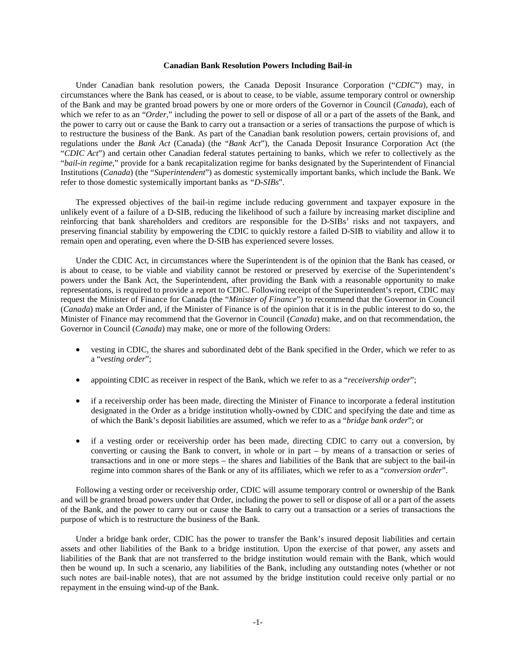### **Canadian Bank Resolution Powers Including Bail-in**

Under Canadian bank resolution powers, the Canada Deposit Insurance Corporation ("*CDIC*") may, in circumstances where the Bank has ceased, or is about to cease, to be viable, assume temporary control or ownership of the Bank and may be granted broad powers by one or more orders of the Governor in Council (*Canada*), each of which we refer to as an "*Order*," including the power to sell or dispose of all or a part of the assets of the Bank, and the power to carry out or cause the Bank to carry out a transaction or a series of transactions the purpose of which is to restructure the business of the Bank. As part of the Canadian bank resolution powers, certain provisions of, and regulations under the *Bank Act* (Canada) (the "*Bank Act*"), the Canada Deposit Insurance Corporation Act (the "*CDIC Act*") and certain other Canadian federal statutes pertaining to banks, which we refer to collectively as the "*bail-in regime*," provide for a bank recapitalization regime for banks designated by the Superintendent of Financial Institutions (*Canada*) (the "*Superintendent*") as domestic systemically important banks, which include the Bank. We refer to those domestic systemically important banks as *"D-SIBs*".

The expressed objectives of the bail-in regime include reducing government and taxpayer exposure in the unlikely event of a failure of a D-SIB, reducing the likelihood of such a failure by increasing market discipline and reinforcing that bank shareholders and creditors are responsible for the D-SIBs' risks and not taxpayers, and preserving financial stability by empowering the CDIC to quickly restore a failed D-SIB to viability and allow it to remain open and operating, even where the D-SIB has experienced severe losses.

Under the CDIC Act, in circumstances where the Superintendent is of the opinion that the Bank has ceased, or is about to cease, to be viable and viability cannot be restored or preserved by exercise of the Superintendent's powers under the Bank Act, the Superintendent, after providing the Bank with a reasonable opportunity to make representations, is required to provide a report to CDIC. Following receipt of the Superintendent's report, CDIC may request the Minister of Finance for Canada (the "*Minister of Finance*") to recommend that the Governor in Council (*Canada*) make an Order and, if the Minister of Finance is of the opinion that it is in the public interest to do so, the Minister of Finance may recommend that the Governor in Council (*Canada*) make, and on that recommendation, the Governor in Council (*Canada*) may make, one or more of the following Orders:

- vesting in CDIC, the shares and subordinated debt of the Bank specified in the Order, which we refer to as a "*vesting order*";
- appointing CDIC as receiver in respect of the Bank, which we refer to as a "*receivership order*";
- if a receivership order has been made, directing the Minister of Finance to incorporate a federal institution designated in the Order as a bridge institution wholly-owned by CDIC and specifying the date and time as of which the Bank's deposit liabilities are assumed, which we refer to as a "*bridge bank order*"; or
- if a vesting order or receivership order has been made, directing CDIC to carry out a conversion, by converting or causing the Bank to convert, in whole or in part – by means of a transaction or series of transactions and in one or more steps – the shares and liabilities of the Bank that are subject to the bail-in regime into common shares of the Bank or any of its affiliates, which we refer to as a "*conversion order*".

Following a vesting order or receivership order, CDIC will assume temporary control or ownership of the Bank and will be granted broad powers under that Order, including the power to sell or dispose of all or a part of the assets of the Bank, and the power to carry out or cause the Bank to carry out a transaction or a series of transactions the purpose of which is to restructure the business of the Bank.

Under a bridge bank order, CDIC has the power to transfer the Bank's insured deposit liabilities and certain assets and other liabilities of the Bank to a bridge institution. Upon the exercise of that power, any assets and liabilities of the Bank that are not transferred to the bridge institution would remain with the Bank, which would then be wound up. In such a scenario, any liabilities of the Bank, including any outstanding notes (whether or not such notes are bail-inable notes), that are not assumed by the bridge institution could receive only partial or no repayment in the ensuing wind-up of the Bank.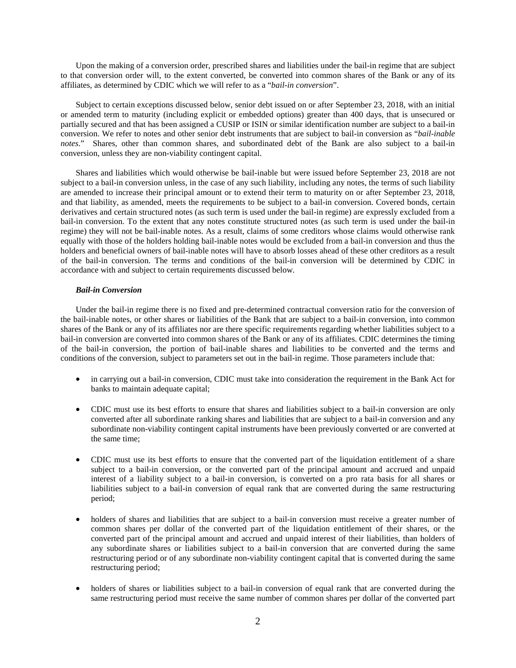Upon the making of a conversion order, prescribed shares and liabilities under the bail-in regime that are subject to that conversion order will, to the extent converted, be converted into common shares of the Bank or any of its affiliates, as determined by CDIC which we will refer to as a "*bail-in conversion*".

Subject to certain exceptions discussed below, senior debt issued on or after September 23, 2018, with an initial or amended term to maturity (including explicit or embedded options) greater than 400 days, that is unsecured or partially secured and that has been assigned a CUSIP or ISIN or similar identification number are subject to a bail-in conversion. We refer to notes and other senior debt instruments that are subject to bail-in conversion as "*bail-inable notes*." Shares, other than common shares, and subordinated debt of the Bank are also subject to a bail-in conversion, unless they are non-viability contingent capital.

Shares and liabilities which would otherwise be bail-inable but were issued before September 23, 2018 are not subject to a bail-in conversion unless, in the case of any such liability, including any notes, the terms of such liability are amended to increase their principal amount or to extend their term to maturity on or after September 23, 2018, and that liability, as amended, meets the requirements to be subject to a bail-in conversion. Covered bonds, certain derivatives and certain structured notes (as such term is used under the bail-in regime) are expressly excluded from a bail-in conversion. To the extent that any notes constitute structured notes (as such term is used under the bail-in regime) they will not be bail-inable notes. As a result, claims of some creditors whose claims would otherwise rank equally with those of the holders holding bail-inable notes would be excluded from a bail-in conversion and thus the holders and beneficial owners of bail-inable notes will have to absorb losses ahead of these other creditors as a result of the bail-in conversion. The terms and conditions of the bail-in conversion will be determined by CDIC in accordance with and subject to certain requirements discussed below.

# *Bail-in Conversion*

Under the bail-in regime there is no fixed and pre-determined contractual conversion ratio for the conversion of the bail-inable notes, or other shares or liabilities of the Bank that are subject to a bail-in conversion, into common shares of the Bank or any of its affiliates nor are there specific requirements regarding whether liabilities subject to a bail-in conversion are converted into common shares of the Bank or any of its affiliates. CDIC determines the timing of the bail-in conversion, the portion of bail-inable shares and liabilities to be converted and the terms and conditions of the conversion, subject to parameters set out in the bail-in regime. Those parameters include that:

- in carrying out a bail-in conversion, CDIC must take into consideration the requirement in the Bank Act for banks to maintain adequate capital;
- CDIC must use its best efforts to ensure that shares and liabilities subject to a bail-in conversion are only converted after all subordinate ranking shares and liabilities that are subject to a bail-in conversion and any subordinate non-viability contingent capital instruments have been previously converted or are converted at the same time;
- CDIC must use its best efforts to ensure that the converted part of the liquidation entitlement of a share subject to a bail-in conversion, or the converted part of the principal amount and accrued and unpaid interest of a liability subject to a bail-in conversion, is converted on a pro rata basis for all shares or liabilities subject to a bail-in conversion of equal rank that are converted during the same restructuring period;
- holders of shares and liabilities that are subject to a bail-in conversion must receive a greater number of common shares per dollar of the converted part of the liquidation entitlement of their shares, or the converted part of the principal amount and accrued and unpaid interest of their liabilities, than holders of any subordinate shares or liabilities subject to a bail-in conversion that are converted during the same restructuring period or of any subordinate non-viability contingent capital that is converted during the same restructuring period;
- holders of shares or liabilities subject to a bail-in conversion of equal rank that are converted during the same restructuring period must receive the same number of common shares per dollar of the converted part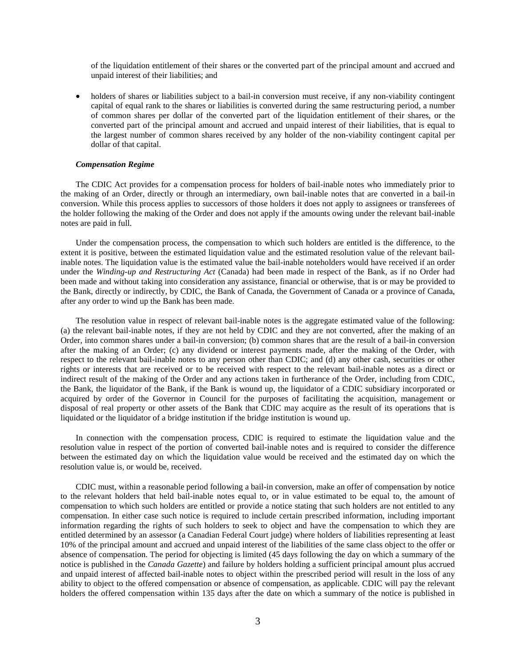of the liquidation entitlement of their shares or the converted part of the principal amount and accrued and unpaid interest of their liabilities; and

• holders of shares or liabilities subject to a bail-in conversion must receive, if any non-viability contingent capital of equal rank to the shares or liabilities is converted during the same restructuring period, a number of common shares per dollar of the converted part of the liquidation entitlement of their shares, or the converted part of the principal amount and accrued and unpaid interest of their liabilities, that is equal to the largest number of common shares received by any holder of the non-viability contingent capital per dollar of that capital.

#### *Compensation Regime*

The CDIC Act provides for a compensation process for holders of bail-inable notes who immediately prior to the making of an Order, directly or through an intermediary, own bail-inable notes that are converted in a bail-in conversion. While this process applies to successors of those holders it does not apply to assignees or transferees of the holder following the making of the Order and does not apply if the amounts owing under the relevant bail-inable notes are paid in full.

Under the compensation process, the compensation to which such holders are entitled is the difference, to the extent it is positive, between the estimated liquidation value and the estimated resolution value of the relevant bailinable notes. The liquidation value is the estimated value the bail-inable noteholders would have received if an order under the *Winding-up and Restructuring Act* (Canada) had been made in respect of the Bank, as if no Order had been made and without taking into consideration any assistance, financial or otherwise, that is or may be provided to the Bank, directly or indirectly, by CDIC, the Bank of Canada, the Government of Canada or a province of Canada, after any order to wind up the Bank has been made.

The resolution value in respect of relevant bail-inable notes is the aggregate estimated value of the following: (a) the relevant bail-inable notes, if they are not held by CDIC and they are not converted, after the making of an Order, into common shares under a bail-in conversion; (b) common shares that are the result of a bail-in conversion after the making of an Order; (c) any dividend or interest payments made, after the making of the Order, with respect to the relevant bail-inable notes to any person other than CDIC; and (d) any other cash, securities or other rights or interests that are received or to be received with respect to the relevant bail-inable notes as a direct or indirect result of the making of the Order and any actions taken in furtherance of the Order, including from CDIC, the Bank, the liquidator of the Bank, if the Bank is wound up, the liquidator of a CDIC subsidiary incorporated or acquired by order of the Governor in Council for the purposes of facilitating the acquisition, management or disposal of real property or other assets of the Bank that CDIC may acquire as the result of its operations that is liquidated or the liquidator of a bridge institution if the bridge institution is wound up.

In connection with the compensation process, CDIC is required to estimate the liquidation value and the resolution value in respect of the portion of converted bail-inable notes and is required to consider the difference between the estimated day on which the liquidation value would be received and the estimated day on which the resolution value is, or would be, received.

CDIC must, within a reasonable period following a bail-in conversion, make an offer of compensation by notice to the relevant holders that held bail-inable notes equal to, or in value estimated to be equal to, the amount of compensation to which such holders are entitled or provide a notice stating that such holders are not entitled to any compensation. In either case such notice is required to include certain prescribed information, including important information regarding the rights of such holders to seek to object and have the compensation to which they are entitled determined by an assessor (a Canadian Federal Court judge) where holders of liabilities representing at least 10% of the principal amount and accrued and unpaid interest of the liabilities of the same class object to the offer or absence of compensation. The period for objecting is limited (45 days following the day on which a summary of the notice is published in the *Canada Gazette*) and failure by holders holding a sufficient principal amount plus accrued and unpaid interest of affected bail-inable notes to object within the prescribed period will result in the loss of any ability to object to the offered compensation or absence of compensation, as applicable. CDIC will pay the relevant holders the offered compensation within 135 days after the date on which a summary of the notice is published in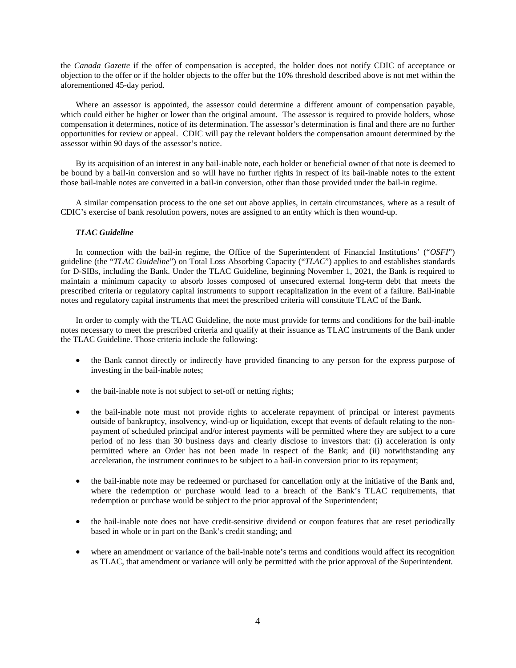the *Canada Gazette* if the offer of compensation is accepted, the holder does not notify CDIC of acceptance or objection to the offer or if the holder objects to the offer but the 10% threshold described above is not met within the aforementioned 45-day period.

Where an assessor is appointed, the assessor could determine a different amount of compensation payable, which could either be higher or lower than the original amount. The assessor is required to provide holders, whose compensation it determines, notice of its determination. The assessor's determination is final and there are no further opportunities for review or appeal. CDIC will pay the relevant holders the compensation amount determined by the assessor within 90 days of the assessor's notice.

By its acquisition of an interest in any bail-inable note, each holder or beneficial owner of that note is deemed to be bound by a bail-in conversion and so will have no further rights in respect of its bail-inable notes to the extent those bail-inable notes are converted in a bail-in conversion, other than those provided under the bail-in regime.

A similar compensation process to the one set out above applies, in certain circumstances, where as a result of CDIC's exercise of bank resolution powers, notes are assigned to an entity which is then wound-up.

# *TLAC Guideline*

In connection with the bail-in regime, the Office of the Superintendent of Financial Institutions' ("*OSFI*") guideline (the "*TLAC Guideline*") on Total Loss Absorbing Capacity ("*TLAC*") applies to and establishes standards for D-SIBs, including the Bank. Under the TLAC Guideline, beginning November 1, 2021, the Bank is required to maintain a minimum capacity to absorb losses composed of unsecured external long-term debt that meets the prescribed criteria or regulatory capital instruments to support recapitalization in the event of a failure. Bail-inable notes and regulatory capital instruments that meet the prescribed criteria will constitute TLAC of the Bank.

In order to comply with the TLAC Guideline, the note must provide for terms and conditions for the bail-inable notes necessary to meet the prescribed criteria and qualify at their issuance as TLAC instruments of the Bank under the TLAC Guideline. Those criteria include the following:

- the Bank cannot directly or indirectly have provided financing to any person for the express purpose of investing in the bail-inable notes;
- the bail-inable note is not subject to set-off or netting rights;
- the bail-inable note must not provide rights to accelerate repayment of principal or interest payments outside of bankruptcy, insolvency, wind-up or liquidation, except that events of default relating to the nonpayment of scheduled principal and/or interest payments will be permitted where they are subject to a cure period of no less than 30 business days and clearly disclose to investors that: (i) acceleration is only permitted where an Order has not been made in respect of the Bank; and (ii) notwithstanding any acceleration, the instrument continues to be subject to a bail-in conversion prior to its repayment;
- the bail-inable note may be redeemed or purchased for cancellation only at the initiative of the Bank and, where the redemption or purchase would lead to a breach of the Bank's TLAC requirements, that redemption or purchase would be subject to the prior approval of the Superintendent;
- the bail-inable note does not have credit-sensitive dividend or coupon features that are reset periodically based in whole or in part on the Bank's credit standing; and
- where an amendment or variance of the bail-inable note's terms and conditions would affect its recognition as TLAC, that amendment or variance will only be permitted with the prior approval of the Superintendent*.*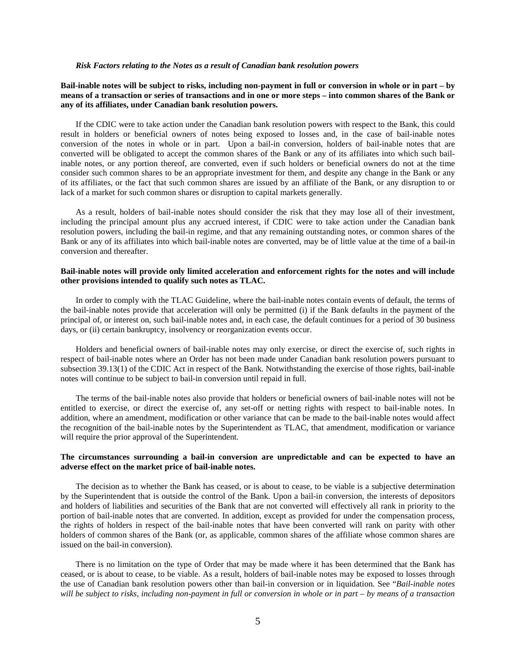#### *Risk Factors relating to the Notes as a result of Canadian bank resolution powers*

### **Bail-inable notes will be subject to risks, including non-payment in full or conversion in whole or in part – by means of a transaction or series of transactions and in one or more steps – into common shares of the Bank or any of its affiliates, under Canadian bank resolution powers.**

If the CDIC were to take action under the Canadian bank resolution powers with respect to the Bank, this could result in holders or beneficial owners of notes being exposed to losses and, in the case of bail-inable notes conversion of the notes in whole or in part. Upon a bail-in conversion, holders of bail-inable notes that are converted will be obligated to accept the common shares of the Bank or any of its affiliates into which such bailinable notes, or any portion thereof, are converted, even if such holders or beneficial owners do not at the time consider such common shares to be an appropriate investment for them, and despite any change in the Bank or any of its affiliates, or the fact that such common shares are issued by an affiliate of the Bank, or any disruption to or lack of a market for such common shares or disruption to capital markets generally.

As a result, holders of bail-inable notes should consider the risk that they may lose all of their investment, including the principal amount plus any accrued interest, if CDIC were to take action under the Canadian bank resolution powers, including the bail-in regime, and that any remaining outstanding notes, or common shares of the Bank or any of its affiliates into which bail-inable notes are converted, may be of little value at the time of a bail-in conversion and thereafter.

### **Bail-inable notes will provide only limited acceleration and enforcement rights for the notes and will include other provisions intended to qualify such notes as TLAC.**

In order to comply with the TLAC Guideline, where the bail-inable notes contain events of default, the terms of the bail-inable notes provide that acceleration will only be permitted (i) if the Bank defaults in the payment of the principal of, or interest on, such bail-inable notes and, in each case, the default continues for a period of 30 business days, or (ii) certain bankruptcy, insolvency or reorganization events occur.

Holders and beneficial owners of bail-inable notes may only exercise, or direct the exercise of, such rights in respect of bail-inable notes where an Order has not been made under Canadian bank resolution powers pursuant to subsection 39.13(1) of the CDIC Act in respect of the Bank. Notwithstanding the exercise of those rights, bail-inable notes will continue to be subject to bail-in conversion until repaid in full.

The terms of the bail-inable notes also provide that holders or beneficial owners of bail-inable notes will not be entitled to exercise, or direct the exercise of, any set-off or netting rights with respect to bail-inable notes. In addition, where an amendment, modification or other variance that can be made to the bail-inable notes would affect the recognition of the bail-inable notes by the Superintendent as TLAC, that amendment, modification or variance will require the prior approval of the Superintendent.

### **The circumstances surrounding a bail-in conversion are unpredictable and can be expected to have an adverse effect on the market price of bail-inable notes.**

The decision as to whether the Bank has ceased, or is about to cease, to be viable is a subjective determination by the Superintendent that is outside the control of the Bank. Upon a bail-in conversion, the interests of depositors and holders of liabilities and securities of the Bank that are not converted will effectively all rank in priority to the portion of bail-inable notes that are converted. In addition, except as provided for under the compensation process, the rights of holders in respect of the bail-inable notes that have been converted will rank on parity with other holders of common shares of the Bank (or, as applicable, common shares of the affiliate whose common shares are issued on the bail-in conversion).

There is no limitation on the type of Order that may be made where it has been determined that the Bank has ceased, or is about to cease, to be viable. As a result, holders of bail-inable notes may be exposed to losses through the use of Canadian bank resolution powers other than bail-in conversion or in liquidation. See "*Bail-inable notes will be subject to risks, including non-payment in full or conversion in whole or in part – by means of a transaction*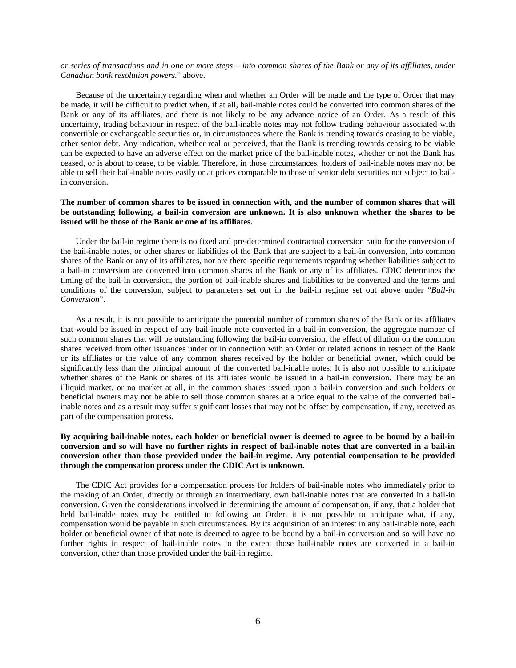*or series of transactions and in one or more steps – into common shares of the Bank or any of its affiliates, under Canadian bank resolution powers.*" above.

Because of the uncertainty regarding when and whether an Order will be made and the type of Order that may be made, it will be difficult to predict when, if at all, bail-inable notes could be converted into common shares of the Bank or any of its affiliates, and there is not likely to be any advance notice of an Order. As a result of this uncertainty, trading behaviour in respect of the bail-inable notes may not follow trading behaviour associated with convertible or exchangeable securities or, in circumstances where the Bank is trending towards ceasing to be viable, other senior debt. Any indication, whether real or perceived, that the Bank is trending towards ceasing to be viable can be expected to have an adverse effect on the market price of the bail-inable notes, whether or not the Bank has ceased, or is about to cease, to be viable. Therefore, in those circumstances, holders of bail-inable notes may not be able to sell their bail-inable notes easily or at prices comparable to those of senior debt securities not subject to bailin conversion.

# **The number of common shares to be issued in connection with, and the number of common shares that will be outstanding following, a bail-in conversion are unknown. It is also unknown whether the shares to be issued will be those of the Bank or one of its affiliates.**

Under the bail-in regime there is no fixed and pre-determined contractual conversion ratio for the conversion of the bail-inable notes, or other shares or liabilities of the Bank that are subject to a bail-in conversion, into common shares of the Bank or any of its affiliates, nor are there specific requirements regarding whether liabilities subject to a bail-in conversion are converted into common shares of the Bank or any of its affiliates. CDIC determines the timing of the bail-in conversion, the portion of bail-inable shares and liabilities to be converted and the terms and conditions of the conversion, subject to parameters set out in the bail-in regime set out above under "*Bail-in Conversion*".

As a result, it is not possible to anticipate the potential number of common shares of the Bank or its affiliates that would be issued in respect of any bail-inable note converted in a bail-in conversion, the aggregate number of such common shares that will be outstanding following the bail-in conversion, the effect of dilution on the common shares received from other issuances under or in connection with an Order or related actions in respect of the Bank or its affiliates or the value of any common shares received by the holder or beneficial owner, which could be significantly less than the principal amount of the converted bail-inable notes. It is also not possible to anticipate whether shares of the Bank or shares of its affiliates would be issued in a bail-in conversion. There may be an illiquid market, or no market at all, in the common shares issued upon a bail-in conversion and such holders or beneficial owners may not be able to sell those common shares at a price equal to the value of the converted bailinable notes and as a result may suffer significant losses that may not be offset by compensation, if any, received as part of the compensation process.

# **By acquiring bail-inable notes, each holder or beneficial owner is deemed to agree to be bound by a bail-in conversion and so will have no further rights in respect of bail-inable notes that are converted in a bail-in conversion other than those provided under the bail-in regime. Any potential compensation to be provided through the compensation process under the CDIC Act is unknown.**

The CDIC Act provides for a compensation process for holders of bail-inable notes who immediately prior to the making of an Order, directly or through an intermediary, own bail-inable notes that are converted in a bail-in conversion. Given the considerations involved in determining the amount of compensation, if any, that a holder that held bail-inable notes may be entitled to following an Order, it is not possible to anticipate what, if any, compensation would be payable in such circumstances. By its acquisition of an interest in any bail-inable note, each holder or beneficial owner of that note is deemed to agree to be bound by a bail-in conversion and so will have no further rights in respect of bail-inable notes to the extent those bail-inable notes are converted in a bail-in conversion, other than those provided under the bail-in regime.